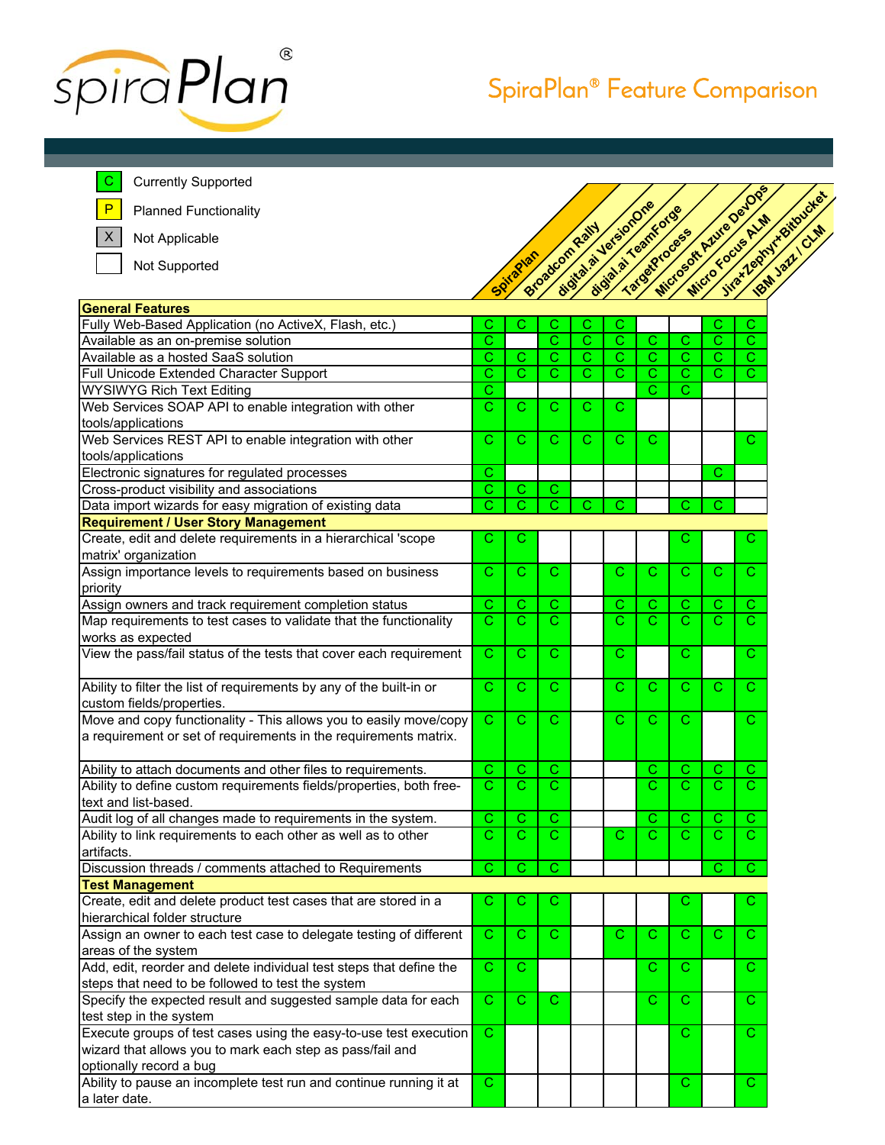

## SpiraPlan® Feature Comparison

Currently Supported

 $\mathbf C$ P

X

Planned Functionality

Not Applicable

Not Supported



| <b>General Features</b>                                                          |                       |                       |                       |                       |                       |                       |                       |                       |                       |
|----------------------------------------------------------------------------------|-----------------------|-----------------------|-----------------------|-----------------------|-----------------------|-----------------------|-----------------------|-----------------------|-----------------------|
| Fully Web-Based Application (no ActiveX, Flash, etc.)                            | С                     | С                     | С                     | С                     | С                     |                       |                       | С                     | C.                    |
| Available as an on-premise solution                                              | Ć                     |                       | Ć                     | C                     | $\overline{\text{c}}$ | С                     | C                     | C                     | $\overline{\text{c}}$ |
| Available as a hosted SaaS solution                                              | С                     | С                     | C                     | С                     | C                     | С                     | C                     | C                     | C                     |
| Full Unicode Extended Character Support                                          | C                     | $\overline{\text{c}}$ | $\overline{\text{c}}$ | $\overline{\text{c}}$ | $\overline{\text{c}}$ | C                     | $\overline{\text{c}}$ | $\overline{\text{c}}$ | $\overline{\text{c}}$ |
| <b>WYSIWYG Rich Text Editing</b>                                                 | С                     |                       |                       |                       |                       | С                     | С                     |                       |                       |
| Web Services SOAP API to enable integration with other                           | Ċ.                    | C.                    | C.                    | С                     | C.                    |                       |                       |                       |                       |
| tools/applications                                                               |                       |                       |                       |                       |                       |                       |                       |                       |                       |
| Web Services REST API to enable integration with other                           | C                     | C                     | C                     | C                     | C                     | C                     |                       |                       | C                     |
| tools/applications                                                               |                       |                       |                       |                       |                       |                       |                       |                       |                       |
| Electronic signatures for regulated processes                                    | С                     |                       |                       |                       |                       |                       |                       | С                     |                       |
| Cross-product visibility and associations                                        | С                     | $\mathsf C$           | C                     |                       |                       |                       |                       |                       |                       |
| Data import wizards for easy migration of existing data                          | $\overline{\text{c}}$ | Ć                     | $\overline{\text{c}}$ | $\overline{\text{c}}$ | $\overline{\text{c}}$ |                       | C                     | C                     |                       |
| <b>Requirement / User Story Management</b>                                       |                       |                       |                       |                       |                       |                       |                       |                       |                       |
| Create, edit and delete requirements in a hierarchical 'scope                    | С                     | С                     |                       |                       |                       |                       | С                     |                       | С                     |
| matrix' organization                                                             |                       |                       |                       |                       |                       |                       |                       |                       |                       |
| Assign importance levels to requirements based on business                       | C.                    | С                     | C.                    |                       | Ċ.                    | $\mathbf C$           | $\mathbf{C}$          | $\mathbf C$           | C.                    |
| priority                                                                         |                       |                       |                       |                       |                       |                       |                       |                       |                       |
| Assign owners and track requirement completion status                            | C                     | C                     | C                     |                       | C                     | C                     | C                     | C                     | C                     |
| Map requirements to test cases to validate that the functionality                | $\overline{\text{c}}$ | $\mathbf C$           | Ċ                     |                       | $\overline{\text{c}}$ | $\overline{\text{c}}$ | $\overline{\text{c}}$ | $\overline{\text{c}}$ | C.                    |
| works as expected                                                                |                       |                       |                       |                       |                       |                       |                       |                       |                       |
| View the pass/fail status of the tests that cover each requirement               | C.                    | C                     | C.                    |                       | C.                    |                       | C.                    |                       | C.                    |
|                                                                                  |                       |                       |                       |                       |                       |                       |                       |                       |                       |
| Ability to filter the list of requirements by any of the built-in or             | C                     | C                     | С                     |                       | C                     | C                     | C                     | C                     | C.                    |
| custom fields/properties.                                                        |                       |                       |                       |                       |                       |                       |                       |                       |                       |
| Move and copy functionality - This allows you to easily move/copy                | C                     | C                     | С                     |                       | С                     | С                     | С                     |                       | С                     |
| a requirement or set of requirements in the requirements matrix.                 |                       |                       |                       |                       |                       |                       |                       |                       |                       |
|                                                                                  |                       |                       |                       |                       |                       |                       |                       |                       |                       |
| Ability to attach documents and other files to requirements.                     | C                     | C                     | C                     |                       |                       | С                     | C                     | C                     | C                     |
| Ability to define custom requirements fields/properties, both free-              | $\overline{\text{c}}$ | $\mathbf C$           | $\overline{\text{c}}$ |                       |                       | C                     | $\overline{\text{c}}$ | C.                    | $\mathbf C$           |
| text and list-based.                                                             |                       |                       |                       |                       |                       |                       |                       |                       |                       |
| Audit log of all changes made to requirements in the system.                     | С                     | С                     | С                     |                       |                       | С                     | С                     | С                     | С                     |
| Ability to link requirements to each other as well as to other                   | $\overline{\text{c}}$ | Ć                     | $\mathbf C$           |                       | Ċ.                    | C.                    | $\overline{\text{c}}$ | C.                    | C.                    |
| artifacts.                                                                       |                       |                       |                       |                       |                       |                       |                       |                       |                       |
|                                                                                  | C                     | C                     | $\overline{\text{c}}$ |                       |                       |                       |                       | C                     | $\overline{C}$        |
| Discussion threads / comments attached to Requirements<br><b>Test Management</b> |                       |                       |                       |                       |                       |                       |                       |                       |                       |
| Create, edit and delete product test cases that are stored in a                  | С                     | С                     | С                     |                       |                       |                       | С                     |                       | С                     |
| hierarchical folder structure                                                    |                       |                       |                       |                       |                       |                       |                       |                       |                       |
|                                                                                  | C                     |                       |                       |                       | C                     |                       |                       |                       |                       |
| Assign an owner to each test case to delegate testing of different               |                       | С                     | С                     |                       |                       | С                     | С                     | С                     | С                     |
| areas of the system                                                              |                       |                       |                       |                       |                       |                       |                       |                       |                       |
| Add, edit, reorder and delete individual test steps that define the              | C                     | С                     |                       |                       |                       | С                     | С                     |                       | C.                    |
| steps that need to be followed to test the system                                |                       |                       |                       |                       |                       |                       |                       |                       |                       |
| Specify the expected result and suggested sample data for each                   | $\overline{C}$        | $\mathsf{C}$          | C.                    |                       |                       | $\mathbf{C}$          | C.                    |                       | C.                    |
| test step in the system                                                          |                       |                       |                       |                       |                       |                       |                       |                       |                       |
| Execute groups of test cases using the easy-to-use test execution                | $\mathbf C$           |                       |                       |                       |                       |                       | C                     |                       | C.                    |
| wizard that allows you to mark each step as pass/fail and                        |                       |                       |                       |                       |                       |                       |                       |                       |                       |
| optionally record a bug                                                          |                       |                       |                       |                       |                       |                       |                       |                       |                       |
| Ability to pause an incomplete test run and continue running it at               | C                     |                       |                       |                       |                       |                       | C.                    |                       | C.                    |
| a later date.                                                                    |                       |                       |                       |                       |                       |                       |                       |                       |                       |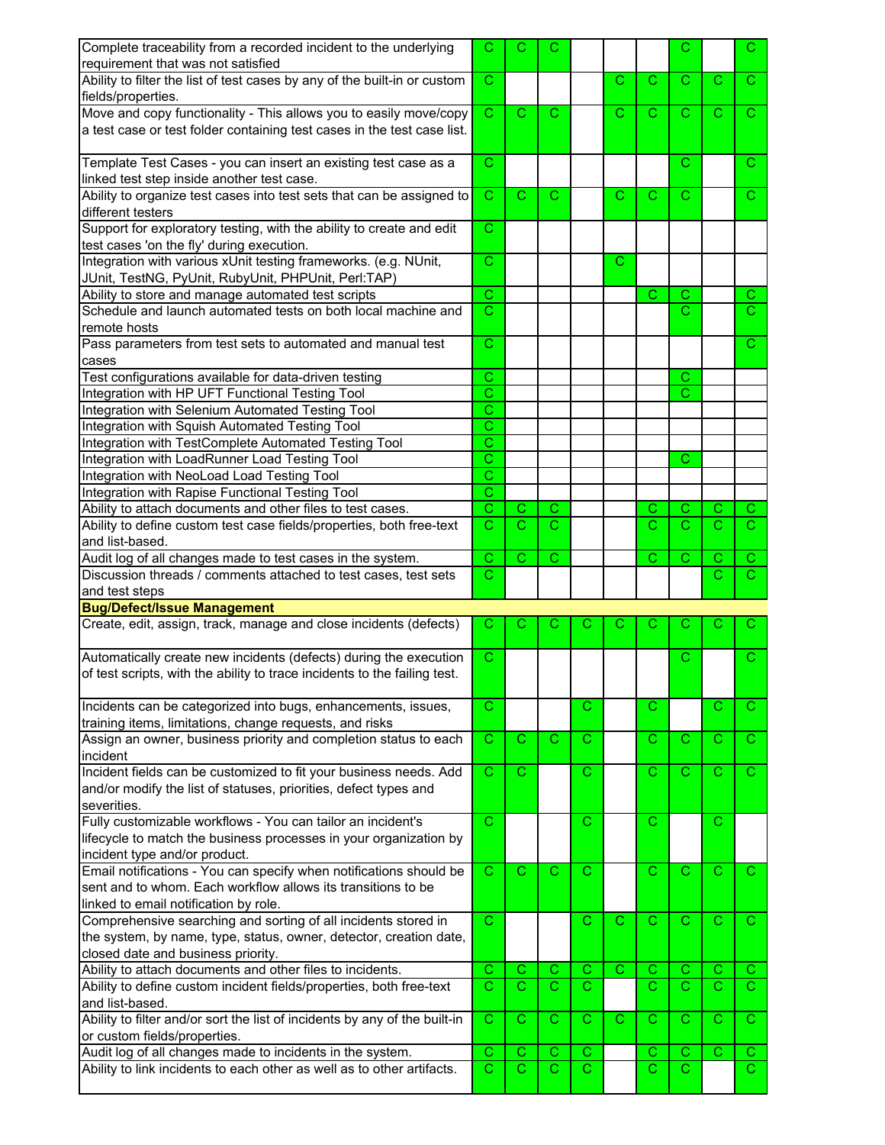| Complete traceability from a recorded incident to the underlying           | C                     | С              | С                     |                |               |                       | C              |              | $\mathbf{C}$          |
|----------------------------------------------------------------------------|-----------------------|----------------|-----------------------|----------------|---------------|-----------------------|----------------|--------------|-----------------------|
| requirement that was not satisfied                                         |                       |                |                       |                |               |                       |                |              |                       |
| Ability to filter the list of test cases by any of the built-in or custom  | $\mathsf{C}$          |                |                       |                | $\mathcal{C}$ | C.                    | $\mathcal{C}$  | C.           | $\mathbf{C}$          |
| fields/properties.                                                         |                       |                |                       |                |               |                       |                |              |                       |
| Move and copy functionality - This allows you to easily move/copy          | $\mathsf{C}$          | C              | C.                    |                | С             | C                     | C.             | C.           | C.                    |
| a test case or test folder containing test cases in the test case list.    |                       |                |                       |                |               |                       |                |              |                       |
|                                                                            |                       |                |                       |                |               |                       |                |              |                       |
| Template Test Cases - you can insert an existing test case as a            | $\mathcal{C}$         |                |                       |                |               |                       | C.             |              | C.                    |
| linked test step inside another test case.                                 |                       |                |                       |                |               |                       |                |              |                       |
| Ability to organize test cases into test sets that can be assigned to      | C                     | C              | С                     |                | C             | C                     | C              |              | C.                    |
| different testers                                                          |                       |                |                       |                |               |                       |                |              |                       |
| Support for exploratory testing, with the ability to create and edit       | C                     |                |                       |                |               |                       |                |              |                       |
|                                                                            |                       |                |                       |                |               |                       |                |              |                       |
| test cases 'on the fly' during execution.                                  |                       |                |                       |                |               |                       |                |              |                       |
| Integration with various xUnit testing frameworks. (e.g. NUnit,            | C                     |                |                       |                | C             |                       |                |              |                       |
| JUnit, TestNG, PyUnit, RubyUnit, PHPUnit, Perl:TAP)                        |                       |                |                       |                |               |                       |                |              |                       |
| Ability to store and manage automated test scripts                         | $\overline{\text{c}}$ |                |                       |                |               | С                     | С              |              | $\mathbf{C}$          |
| Schedule and launch automated tests on both local machine and              | С                     |                |                       |                |               |                       | С              |              | $\overline{\text{c}}$ |
| remote hosts                                                               |                       |                |                       |                |               |                       |                |              |                       |
| Pass parameters from test sets to automated and manual test                | C                     |                |                       |                |               |                       |                |              | C.                    |
| cases                                                                      |                       |                |                       |                |               |                       |                |              |                       |
| Test configurations available for data-driven testing                      | C                     |                |                       |                |               |                       | C              |              |                       |
| Integration with HP UFT Functional Testing Tool                            | Ć                     |                |                       |                |               |                       | C              |              |                       |
| Integration with Selenium Automated Testing Tool                           | Ċ                     |                |                       |                |               |                       |                |              |                       |
| Integration with Squish Automated Testing Tool                             | Ć                     |                |                       |                |               |                       |                |              |                       |
| Integration with TestComplete Automated Testing Tool                       | С                     |                |                       |                |               |                       |                |              |                       |
| Integration with LoadRunner Load Testing Tool                              | $\overline{\text{c}}$ |                |                       |                |               |                       | $\mathsf{C}$   |              |                       |
| Integration with NeoLoad Load Testing Tool                                 | С                     |                |                       |                |               |                       |                |              |                       |
| Integration with Rapise Functional Testing Tool                            | C                     |                |                       |                |               |                       |                |              |                       |
| Ability to attach documents and other files to test cases.                 | $\overline{\text{c}}$ | C              | C                     |                |               | С                     | C              | С            | $\mathbf{C}$          |
| Ability to define custom test case fields/properties, both free-text       | С                     | С              | С                     |                |               | С                     | C.             | С            | C.                    |
| and list-based.                                                            |                       |                |                       |                |               |                       |                |              |                       |
| Audit log of all changes made to test cases in the system.                 | С                     |                |                       |                |               |                       |                | С            |                       |
|                                                                            |                       |                |                       |                |               |                       |                |              |                       |
|                                                                            | C.                    | $\overline{C}$ | C                     |                |               | C                     | $\mathsf{C}$   |              | C.<br>$\overline{C}$  |
| Discussion threads / comments attached to test cases, test sets            |                       |                |                       |                |               |                       |                | C.           |                       |
| and test steps                                                             |                       |                |                       |                |               |                       |                |              |                       |
| <b>Bug/Defect/Issue Management</b>                                         |                       |                |                       |                |               |                       |                |              |                       |
| Create, edit, assign, track, manage and close incidents (defects)          | С                     | С              | С                     | С              | С             | С                     | С              | С            | C.                    |
|                                                                            |                       |                |                       |                |               |                       |                |              |                       |
| Automatically create new incidents (defects) during the execution          | $\mathsf{C}$          |                |                       |                |               |                       | C              |              | $\mathbf{C}$          |
| of test scripts, with the ability to trace incidents to the failing test.  |                       |                |                       |                |               |                       |                |              |                       |
|                                                                            |                       |                |                       |                |               |                       |                |              |                       |
| Incidents can be categorized into bugs, enhancements, issues,              | C                     |                |                       | C              |               | С                     |                | С            | $\mathbf{C}$          |
| training items, limitations, change requests, and risks                    |                       |                |                       |                |               |                       |                |              |                       |
| Assign an owner, business priority and completion status to each           | $\overline{\text{c}}$ | C.             | C.                    | $\mathsf{C}$   |               | C                     | $\mathsf{C}$   | $\mathsf{C}$ | $\mathbf{C}$          |
| incident                                                                   |                       |                |                       |                |               |                       |                |              |                       |
| Incident fields can be customized to fit your business needs. Add          | С                     | C.             |                       | C.             |               | C                     | C              | С            | C.                    |
| and/or modify the list of statuses, priorities, defect types and           |                       |                |                       |                |               |                       |                |              |                       |
| severities.                                                                |                       |                |                       |                |               |                       |                |              |                       |
| Fully customizable workflows - You can tailor an incident's                | $\overline{C}$        |                |                       | $\mathcal{C}$  |               | $\overline{C}$        |                | $\mathbf C$  |                       |
| lifecycle to match the business processes in your organization by          |                       |                |                       |                |               |                       |                |              |                       |
| incident type and/or product.                                              |                       |                |                       |                |               |                       |                |              |                       |
| Email notifications - You can specify when notifications should be         | C                     | C              | C                     | C              |               | C                     | C              | C            | $\mathbf{C}$          |
| sent and to whom. Each workflow allows its transitions to be               |                       |                |                       |                |               |                       |                |              |                       |
| linked to email notification by role.                                      |                       |                |                       |                |               |                       |                |              |                       |
| Comprehensive searching and sorting of all incidents stored in             | C                     |                |                       | C.             | $\mathbf C$   | $\mathsf{C}$          | $\mathsf{C}$   | $\mathbf C$  | C.                    |
| the system, by name, type, status, owner, detector, creation date,         |                       |                |                       |                |               |                       |                |              |                       |
| closed date and business priority.                                         |                       |                |                       |                |               |                       |                |              |                       |
| Ability to attach documents and other files to incidents.                  | С                     | С              | C                     | C              | C             | С                     | С              | С            | C.                    |
| Ability to define custom incident fields/properties, both free-text        | $\overline{\text{c}}$ | $\mathbf{C}$   | $\mathbf{C}$          | $\mathbf{C}$   |               | $\overline{\text{c}}$ | $\overline{C}$ | $\mathbf{C}$ | $\overline{C}$        |
| and list-based.                                                            |                       |                |                       |                |               |                       |                |              |                       |
| Ability to filter and/or sort the list of incidents by any of the built-in | C                     | C              | C                     | $\mathsf{C}$   | C             | C                     | $\mathsf{C}$   | C            | $\mathbf{C}$          |
| or custom fields/properties.                                               |                       |                |                       |                |               |                       |                |              |                       |
| Audit log of all changes made to incidents in the system.                  | С                     | С              | С                     | C              |               | С                     | С              | C.           | $\overline{C}$        |
| Ability to link incidents to each other as well as to other artifacts.     | $\overline{\text{c}}$ | $\overline{C}$ | $\overline{\text{c}}$ | $\overline{C}$ |               | $\overline{\text{c}}$ | $\overline{C}$ |              | $\overline{\text{c}}$ |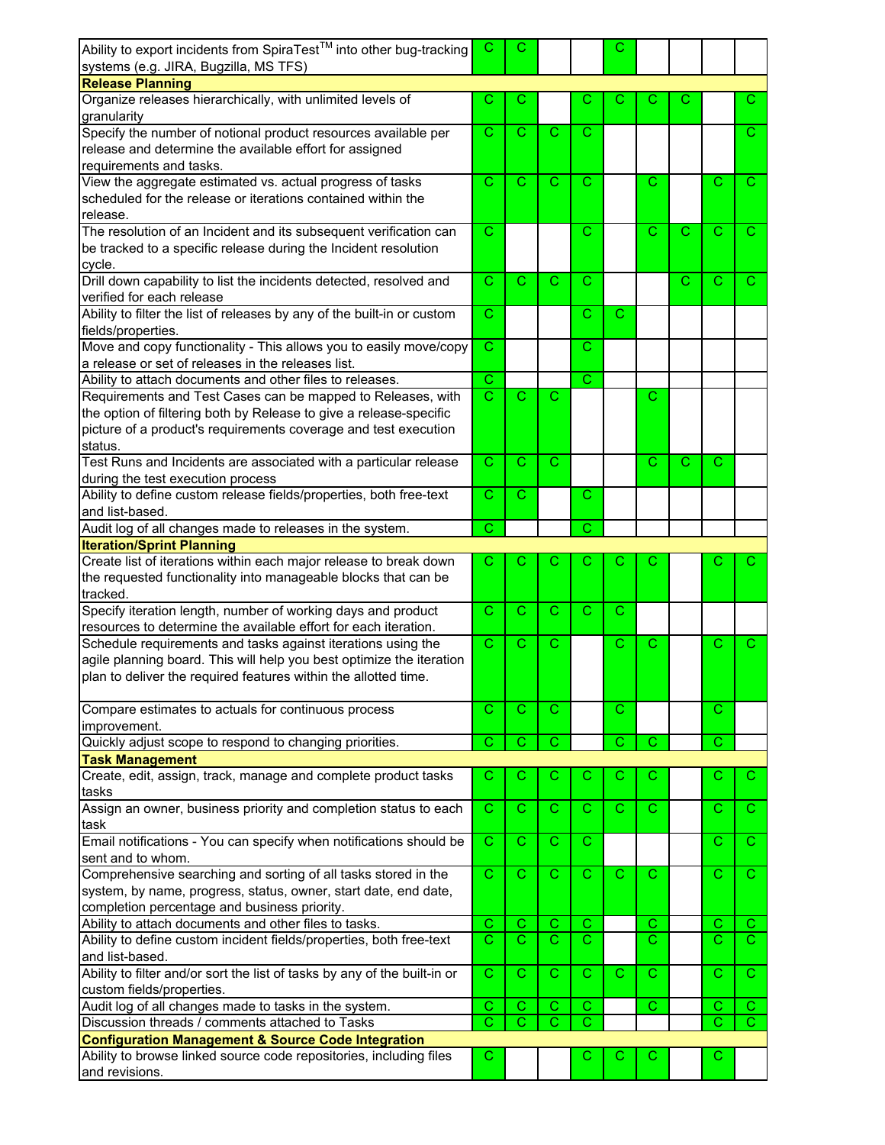| Ability to export incidents from SpiraTest <sup>™</sup> into other bug-tracking<br>systems (e.g. JIRA, Bugzilla, MS TFS)                | С                          | С                           |                   |                       | С              |             |   |              |                     |
|-----------------------------------------------------------------------------------------------------------------------------------------|----------------------------|-----------------------------|-------------------|-----------------------|----------------|-------------|---|--------------|---------------------|
| <b>Release Planning</b>                                                                                                                 |                            |                             |                   |                       |                |             |   |              |                     |
| Organize releases hierarchically, with unlimited levels of                                                                              | С                          | С                           |                   | С                     |                |             |   |              | С                   |
| granularity<br>Specify the number of notional product resources available per                                                           | C                          | $\overline{C}$              | C                 | $\mathbf C$           |                |             |   |              | C.                  |
| release and determine the available effort for assigned<br>requirements and tasks.                                                      |                            |                             |                   |                       |                |             |   |              |                     |
| View the aggregate estimated vs. actual progress of tasks                                                                               | С                          | $\mathbf C$                 | C                 | С                     |                | C           |   | C            | С                   |
| scheduled for the release or iterations contained within the<br>release.                                                                |                            |                             |                   |                       |                |             |   |              |                     |
| The resolution of an Incident and its subsequent verification can                                                                       | C                          |                             |                   | C                     |                | С           | С | C            | С                   |
| be tracked to a specific release during the Incident resolution<br>cycle.                                                               |                            |                             |                   |                       |                |             |   |              |                     |
| Drill down capability to list the incidents detected, resolved and                                                                      | C                          | $\mathbf C$                 | $\mathcal{C}$     | C                     |                |             | С | С            | С                   |
| verified for each release<br>Ability to filter the list of releases by any of the built-in or custom                                    | C                          |                             |                   | C                     | C              |             |   |              |                     |
| fields/properties.                                                                                                                      |                            |                             |                   |                       |                |             |   |              |                     |
| Move and copy functionality - This allows you to easily move/copy<br>a release or set of releases in the releases list.                 | C                          |                             |                   | С                     |                |             |   |              |                     |
| Ability to attach documents and other files to releases.                                                                                | C                          |                             |                   | C                     |                |             |   |              |                     |
| Requirements and Test Cases can be mapped to Releases, with                                                                             | C                          | $\mathbf C$                 | C                 |                       |                | С           |   |              |                     |
| the option of filtering both by Release to give a release-specific                                                                      |                            |                             |                   |                       |                |             |   |              |                     |
| picture of a product's requirements coverage and test execution<br>status.                                                              |                            |                             |                   |                       |                |             |   |              |                     |
| Test Runs and Incidents are associated with a particular release                                                                        | C                          | $\overline{C}$              | $\mathsf{C}$      |                       |                | C           | C | С            |                     |
| during the test execution process                                                                                                       |                            |                             |                   |                       |                |             |   |              |                     |
| Ability to define custom release fields/properties, both free-text<br>and list-based.                                                   | $\overline{\text{c}}$      | $\mathbf C$                 |                   | $\mathbf C$           |                |             |   |              |                     |
| Audit log of all changes made to releases in the system.                                                                                | C                          |                             |                   | C                     |                |             |   |              |                     |
| <b>Iteration/Sprint Planning</b>                                                                                                        |                            |                             |                   |                       |                |             |   |              |                     |
| Create list of iterations within each major release to break down                                                                       | С                          | С                           | С                 | С                     | С              |             |   | С            |                     |
| the requested functionality into manageable blocks that can be<br>tracked.                                                              |                            |                             |                   |                       |                |             |   |              |                     |
| Specify iteration length, number of working days and product<br>resources to determine the available effort for each iteration.         | C                          | C.                          | C                 | C                     | C              |             |   |              |                     |
| Schedule requirements and tasks against iterations using the                                                                            | C                          | $\mathbf C$                 | С                 |                       | С              | С           |   | С            | С                   |
| agile planning board. This will help you best optimize the iteration<br>plan to deliver the required features within the allotted time. |                            |                             |                   |                       |                |             |   |              |                     |
| Compare estimates to actuals for continuous process                                                                                     | C                          | C.                          | C.                |                       | $\mathcal{C}$  |             |   | $\mathbf C$  |                     |
| improvement.                                                                                                                            |                            |                             |                   |                       |                |             |   |              |                     |
| Quickly adjust scope to respond to changing priorities.                                                                                 | $\overline{\text{c}}$      | $\overline{\text{c}}$       | $\overline{C}$    |                       | $\overline{C}$ | $\mathsf C$ |   | $\mathbf{C}$ |                     |
| <b>Task Management</b>                                                                                                                  |                            |                             |                   |                       |                |             |   |              |                     |
| Create, edit, assign, track, manage and complete product tasks<br>tasks                                                                 | С                          | C.                          | С                 | С                     | С              | С           |   | С            | C.                  |
| Assign an owner, business priority and completion status to each<br>task                                                                | C                          | C.                          | C                 | C.                    | C.             | C           |   | С            | C.                  |
| Email notifications - You can specify when notifications should be                                                                      | C                          | C.                          | C.                | $\mathsf{C}$          |                |             |   | С            | C.                  |
| sent and to whom.                                                                                                                       | $\overline{\text{c}}$      | $\overline{C}$              |                   |                       |                |             |   |              |                     |
| Comprehensive searching and sorting of all tasks stored in the<br>system, by name, progress, status, owner, start date, end date,       |                            |                             | $\mathsf{C}$      | $\mathsf{C}$          | C              | C           |   | C            | $\mathbf{C}$        |
| completion percentage and business priority.                                                                                            |                            |                             |                   |                       |                |             |   |              |                     |
| Ability to attach documents and other files to tasks.                                                                                   | C<br>$\overline{\text{c}}$ | $\mathbf C$<br>$\mathbf{C}$ | C<br>$\mathbf{C}$ | C<br>$\mathbf C$      |                | C<br>C      |   | С<br>C.      | C.<br>$\mathcal{C}$ |
| Ability to define custom incident fields/properties, both free-text<br>and list-based.                                                  |                            |                             |                   |                       |                |             |   |              |                     |
| Ability to filter and/or sort the list of tasks by any of the built-in or<br>custom fields/properties.                                  | C                          | C.                          | C.                | C.                    | $\mathbf{C}$   | C           |   | С            | C.                  |
| Audit log of all changes made to tasks in the system.                                                                                   | C                          | $\mathbf C$                 | $\mathsf{C}$      | $\mathbf C$           |                | C           |   | С            | C.                  |
| Discussion threads / comments attached to Tasks                                                                                         | C                          | $\overline{\text{c}}$       | $\overline{C}$    | $\overline{\text{c}}$ |                |             |   | C            | $\mathbf{C}$        |
| <b>Configuration Management &amp; Source Code Integration</b>                                                                           |                            |                             |                   |                       |                |             |   |              |                     |
| Ability to browse linked source code repositories, including files<br>and revisions.                                                    | С                          |                             |                   | С                     | С              | С           |   | C            |                     |
|                                                                                                                                         |                            |                             |                   |                       |                |             |   |              |                     |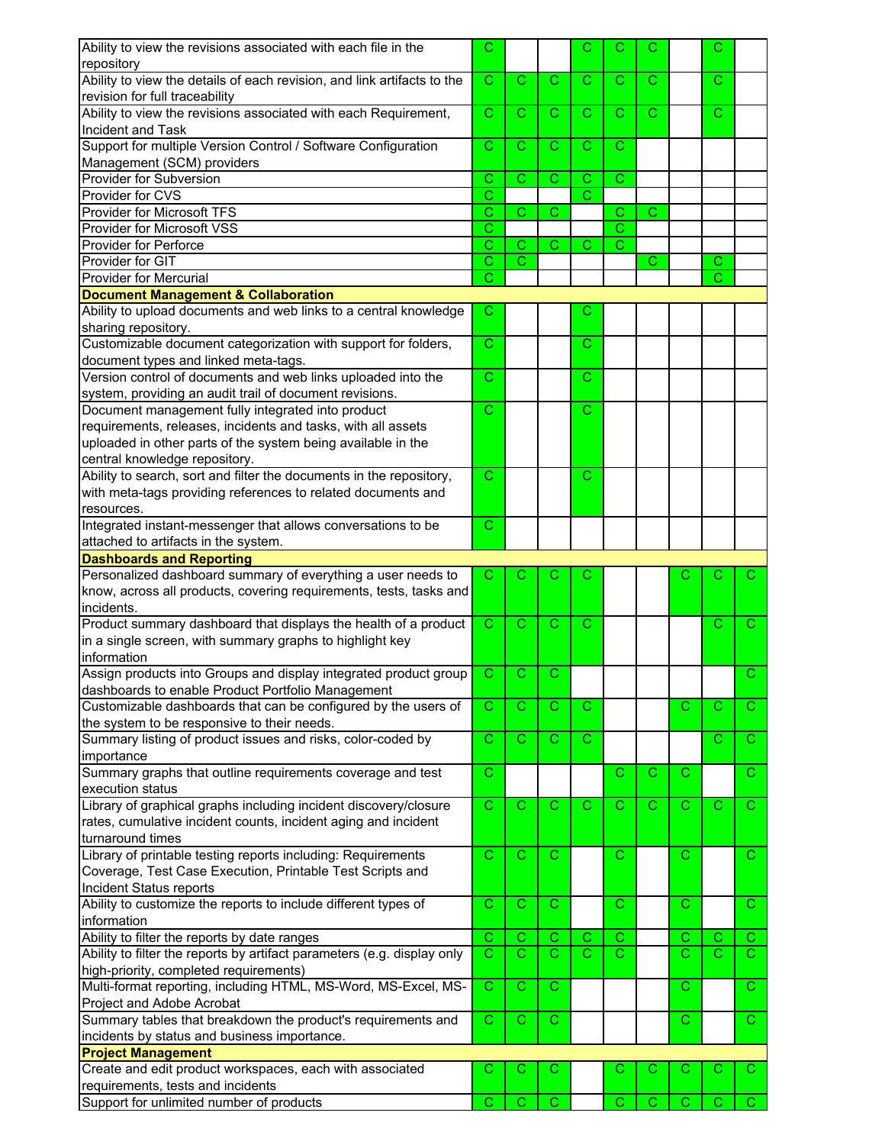| Ability to view the revisions associated with each file in the                | С                     |                       |                       | С              | C                     | С            |              | С  |              |
|-------------------------------------------------------------------------------|-----------------------|-----------------------|-----------------------|----------------|-----------------------|--------------|--------------|----|--------------|
| repository                                                                    |                       |                       |                       |                |                       |              |              |    |              |
| Ability to view the details of each revision, and link artifacts to the       | С                     | $\mathbf{C}$          | C.                    | C.             | C                     | C            |              | С  |              |
|                                                                               |                       |                       |                       |                |                       |              |              |    |              |
| revision for full traceability                                                |                       |                       |                       |                |                       |              |              |    |              |
| Ability to view the revisions associated with each Requirement,               | C                     | $\mathbf C$           | C.                    | $\mathbf{C}$   | C                     | $\mathsf{C}$ |              | C. |              |
| Incident and Task                                                             |                       |                       |                       |                |                       |              |              |    |              |
| Support for multiple Version Control / Software Configuration                 | С                     | C                     | C.                    | C              | C                     |              |              |    |              |
|                                                                               |                       |                       |                       |                |                       |              |              |    |              |
| Management (SCM) providers                                                    |                       |                       |                       |                |                       |              |              |    |              |
| <b>Provider for Subversion</b>                                                | C                     | $\overline{\text{c}}$ | $\overline{\text{c}}$ | $\overline{C}$ | $\overline{C}$        |              |              |    |              |
| Provider for CVS                                                              | С                     |                       |                       | $\mathbf{C}$   |                       |              |              |    |              |
| Provider for Microsoft TFS                                                    |                       | $\overline{\text{c}}$ |                       |                |                       |              |              |    |              |
|                                                                               | Ć                     |                       | C                     |                | $\mathsf{C}$          | $\mathsf C$  |              |    |              |
| Provider for Microsoft VSS                                                    | C                     |                       |                       |                | $\overline{\text{c}}$ |              |              |    |              |
| <b>Provider for Perforce</b>                                                  | C                     | C                     | С                     | С              | $\mathsf{C}$          |              |              |    |              |
| Provider for GIT                                                              | $\overline{\text{c}}$ | $\overline{\text{c}}$ |                       |                |                       | С            |              | С  |              |
|                                                                               |                       |                       |                       |                |                       |              |              |    |              |
| <b>Provider for Mercurial</b>                                                 | С                     |                       |                       |                |                       |              |              | C  |              |
| <b>Document Management &amp; Collaboration</b>                                |                       |                       |                       |                |                       |              |              |    |              |
| Ability to upload documents and web links to a central knowledge              | С                     |                       |                       | С              |                       |              |              |    |              |
|                                                                               |                       |                       |                       |                |                       |              |              |    |              |
| sharing repository.                                                           |                       |                       |                       |                |                       |              |              |    |              |
| Customizable document categorization with support for folders,                | C                     |                       |                       | $\mathbf{C}$   |                       |              |              |    |              |
| document types and linked meta-tags.                                          |                       |                       |                       |                |                       |              |              |    |              |
| Version control of documents and web links uploaded into the                  | C                     |                       |                       | C.             |                       |              |              |    |              |
|                                                                               |                       |                       |                       |                |                       |              |              |    |              |
| system, providing an audit trail of document revisions.                       |                       |                       |                       |                |                       |              |              |    |              |
| Document management fully integrated into product                             | С                     |                       |                       | C              |                       |              |              |    |              |
| requirements, releases, incidents and tasks, with all assets                  |                       |                       |                       |                |                       |              |              |    |              |
|                                                                               |                       |                       |                       |                |                       |              |              |    |              |
| uploaded in other parts of the system being available in the                  |                       |                       |                       |                |                       |              |              |    |              |
| central knowledge repository.                                                 |                       |                       |                       |                |                       |              |              |    |              |
| Ability to search, sort and filter the documents in the repository,           | С                     |                       |                       | C              |                       |              |              |    |              |
| with meta-tags providing references to related documents and                  |                       |                       |                       |                |                       |              |              |    |              |
|                                                                               |                       |                       |                       |                |                       |              |              |    |              |
| resources.                                                                    |                       |                       |                       |                |                       |              |              |    |              |
| Integrated instant-messenger that allows conversations to be                  | С                     |                       |                       |                |                       |              |              |    |              |
| attached to artifacts in the system.                                          |                       |                       |                       |                |                       |              |              |    |              |
|                                                                               |                       |                       |                       |                |                       |              |              |    |              |
| <b>Dashboards and Reporting</b>                                               |                       |                       |                       |                |                       |              |              |    |              |
|                                                                               |                       |                       |                       |                |                       |              |              |    |              |
| Personalized dashboard summary of everything a user needs to                  | С                     | С                     | С                     | С              |                       |              |              | С  | С            |
|                                                                               |                       |                       |                       |                |                       |              |              |    |              |
| know, across all products, covering requirements, tests, tasks and            |                       |                       |                       |                |                       |              |              |    |              |
| incidents.                                                                    |                       |                       |                       |                |                       |              |              |    |              |
| Product summary dashboard that displays the health of a product               | C.                    | C                     | C.                    | C.             |                       |              |              | С  | C.           |
| in a single screen, with summary graphs to highlight key                      |                       |                       |                       |                |                       |              |              |    |              |
|                                                                               |                       |                       |                       |                |                       |              |              |    |              |
| information                                                                   |                       |                       |                       |                |                       |              |              |    |              |
| Assign products into Groups and display integrated product group              | C                     | C                     | C.                    |                |                       |              |              |    | C.           |
| dashboards to enable Product Portfolio Management                             |                       |                       |                       |                |                       |              |              |    |              |
|                                                                               |                       |                       | C                     | C              |                       |              | C            | C  | C.           |
| Customizable dashboards that can be configured by the users of                | C                     | C                     |                       |                |                       |              |              |    |              |
| the system to be responsive to their needs.                                   |                       |                       |                       |                |                       |              |              |    |              |
| Summary listing of product issues and risks, color-coded by                   | С                     | C.                    | C.                    | C.             |                       |              |              | С  | C.           |
|                                                                               |                       |                       |                       |                |                       |              |              |    |              |
| importance                                                                    |                       |                       |                       |                |                       |              |              |    |              |
| Summary graphs that outline requirements coverage and test                    | С                     |                       |                       |                | $\mathbf C$           | $\mathbf C$  | C            |    | $\mathsf{C}$ |
| execution status                                                              |                       |                       |                       |                |                       |              |              |    |              |
| Library of graphical graphs including incident discovery/closure              | C                     | C                     | C                     | C              | С                     | C            | C            | С  | $\mathbf{C}$ |
|                                                                               |                       |                       |                       |                |                       |              |              |    |              |
| rates, cumulative incident counts, incident aging and incident                |                       |                       |                       |                |                       |              |              |    |              |
| turnaround times                                                              |                       |                       |                       |                |                       |              |              |    |              |
| Library of printable testing reports including: Requirements                  | C                     | $\mathbf C$           | $\mathsf{C}$          |                | C                     |              | $\mathsf{C}$ |    | $\mathsf{C}$ |
|                                                                               |                       |                       |                       |                |                       |              |              |    |              |
| Coverage, Test Case Execution, Printable Test Scripts and                     |                       |                       |                       |                |                       |              |              |    |              |
| Incident Status reports                                                       |                       |                       |                       |                |                       |              |              |    |              |
| Ability to customize the reports to include different types of                | С                     | $\mathbf C$           | C.                    |                | C                     |              | C            |    | C.           |
| information                                                                   |                       |                       |                       |                |                       |              |              |    |              |
|                                                                               |                       |                       |                       |                |                       |              |              | С  |              |
| Ability to filter the reports by date ranges                                  | Ċ                     | Ċ                     | $\mathsf C$           | С              | $\mathbf C$           |              | C            |    | $\mathbf{C}$ |
| Ability to filter the reports by artifact parameters (e.g. display only       | C                     | $\overline{C}$        | $\mathbf{C}$          | $\mathbf C$    | $\mathcal{C}$         |              | C.           | C  | C.           |
| high-priority, completed requirements)                                        |                       |                       |                       |                |                       |              |              |    |              |
|                                                                               | C                     | C                     | C.                    |                |                       |              | С            |    | C.           |
| Multi-format reporting, including HTML, MS-Word, MS-Excel, MS-                |                       |                       |                       |                |                       |              |              |    |              |
| Project and Adobe Acrobat                                                     |                       |                       |                       |                |                       |              |              |    |              |
| Summary tables that breakdown the product's requirements and                  | C                     | $\mathsf{C}$          | $\mathbf{C}$          |                |                       |              | С            |    | C.           |
| incidents by status and business importance.                                  |                       |                       |                       |                |                       |              |              |    |              |
|                                                                               |                       |                       |                       |                |                       |              |              |    |              |
| <b>Project Management</b>                                                     |                       |                       |                       |                |                       |              |              |    |              |
| Create and edit product workspaces, each with associated                      | С                     | С                     | С                     |                | C                     | С            | С            | С  | C.           |
| requirements, tests and incidents<br>Support for unlimited number of products | С                     | C                     | C                     |                | C                     | C            | C            | С  | C.           |